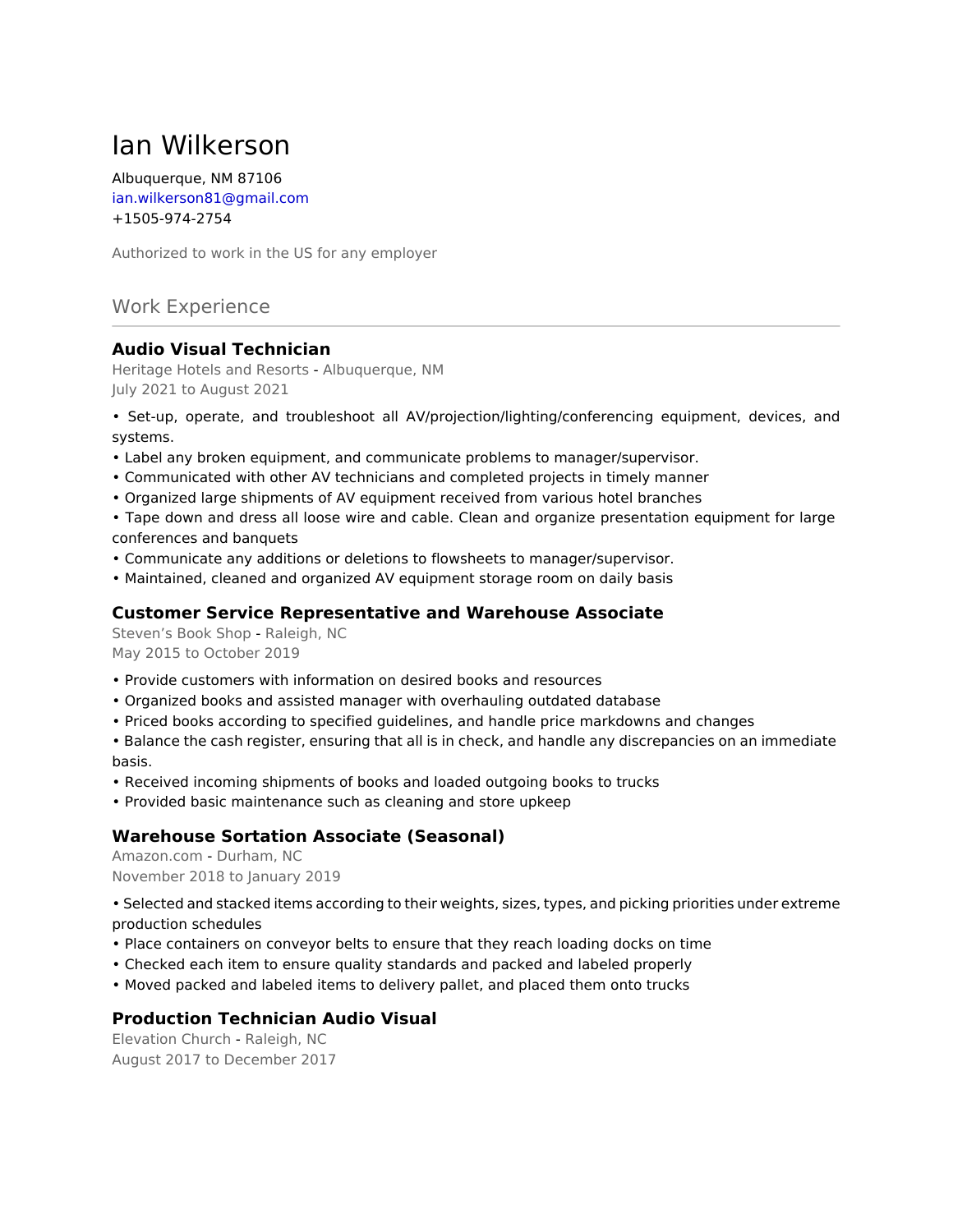# Ian Wilkerson

Albuquerque, NM 87106 ian.wilkerson81@gmail.com +1505-974-2754

Authorized to work in the US for any employer

# Work Experience

# **Audio Visual Technician**

Heritage Hotels and Resorts - Albuquerque, NM July 2021 to August 2021

• Set-up, operate, and troubleshoot all AV/projection/lighting/conferencing equipment, devices, and systems.

- Label any broken equipment, and communicate problems to manager/supervisor.
- Communicated with other AV technicians and completed projects in timely manner
- Organized large shipments of AV equipment received from various hotel branches

• Tape down and dress all loose wire and cable. Clean and organize presentation equipment for large conferences and banquets

- Communicate any additions or deletions to flowsheets to manager/supervisor.
- Maintained, cleaned and organized AV equipment storage room on daily basis

#### **Customer Service Representative and Warehouse Associate**

Steven's Book Shop - Raleigh, NC May 2015 to October 2019

- Provide customers with information on desired books and resources
- Organized books and assisted manager with overhauling outdated database
- Priced books according to specified guidelines, and handle price markdowns and changes

• Balance the cash register, ensuring that all is in check, and handle any discrepancies on an immediate basis.

- Received incoming shipments of books and loaded outgoing books to trucks
- Provided basic maintenance such as cleaning and store upkeep

### **Warehouse Sortation Associate (Seasonal)**

Amazon.com - Durham, NC November 2018 to January 2019

• Selected and stacked items according to their weights, sizes, types, and picking priorities under extreme production schedules

- Place containers on conveyor belts to ensure that they reach loading docks on time
- Checked each item to ensure quality standards and packed and labeled properly
- Moved packed and labeled items to delivery pallet, and placed them onto trucks

### **Production Technician Audio Visual**

Elevation Church - Raleigh, NC August 2017 to December 2017